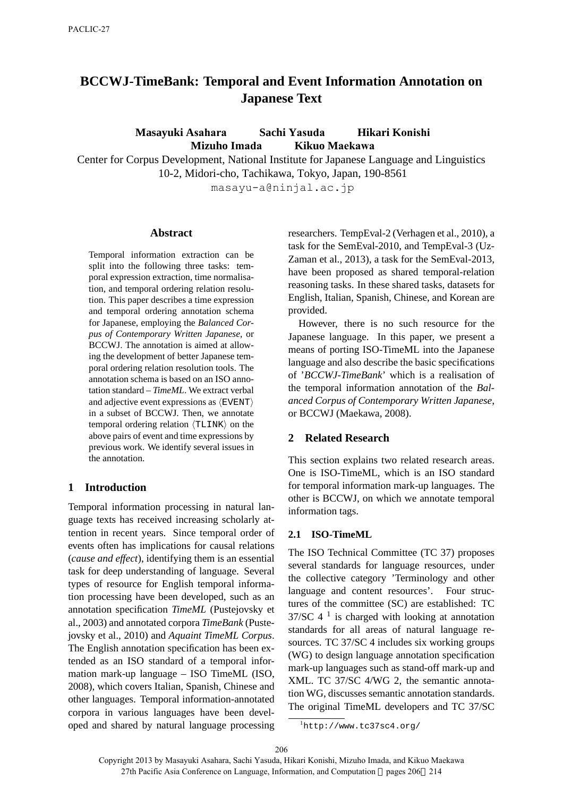# **BCCWJ-TimeBank: Temporal and Event Information Annotation on Japanese Text**

**Masayuki Asahara Sachi Yasuda Hikari Konishi Mizuho Imada Kikuo Maekawa**

Center for Corpus Development, National Institute for Japanese Language and Linguistics 10-2, Midori-cho, Tachikawa, Tokyo, Japan, 190-8561

masayu-a@ninjal.ac.jp

#### **Abstract**

Temporal information extraction can be split into the following three tasks: temporal expression extraction, time normalisation, and temporal ordering relation resolution. This paper describes a time expression and temporal ordering annotation schema for Japanese, employing the *Balanced Corpus of Contemporary Written Japanese*, or BCCWJ. The annotation is aimed at allowing the development of better Japanese temporal ordering relation resolution tools. The annotation schema is based on an ISO annotation standard – *TimeML*. We extract verbal and adjective event expressions as *⟨*EVENT*⟩* in a subset of BCCWJ. Then, we annotate temporal ordering relation *⟨*TLINK*⟩* on the above pairs of event and time expressions by previous work. We identify several issues in the annotation.

### **1 Introduction**

Temporal information processing in natural language texts has received increasing scholarly attention in recent years. Since temporal order of events often has implications for causal relations (*cause and effect*), identifying them is an essential task for deep understanding of language. Several types of resource for English temporal information processing have been developed, such as an annotation specification *TimeML* (Pustejovsky et al., 2003) and annotated corpora *TimeBank* (Pustejovsky et al., 2010) and *Aquaint TimeML Corpus*. The English annotation specification has been extended as an ISO standard of a temporal information mark-up language – ISO TimeML (ISO, 2008), which covers Italian, Spanish, Chinese and other languages. Temporal information-annotated corpora in various languages have been developed and shared by natural language processing researchers. TempEval-2 (Verhagen et al., 2010), a task for the SemEval-2010, and TempEval-3 (Uz-Zaman et al., 2013), a task for the SemEval-2013, have been proposed as shared temporal-relation reasoning tasks. In these shared tasks, datasets for English, Italian, Spanish, Chinese, and Korean are provided.

However, there is no such resource for the Japanese language. In this paper, we present a means of porting ISO-TimeML into the Japanese language and also describe the basic specifications of '*BCCWJ-TimeBank*' which is a realisation of the temporal information annotation of the *Balanced Corpus of Contemporary Written Japanese*, or BCCWJ (Maekawa, 2008).

#### **2 Related Research**

This section explains two related research areas. One is ISO-TimeML, which is an ISO standard for temporal information mark-up languages. The other is BCCWJ, on which we annotate temporal information tags.

### **2.1 ISO-TimeML**

The ISO Technical Committee (TC 37) proposes several standards for language resources, under the collective category 'Terminology and other language and content resources'. Four structures of the committee (SC) are established: TC  $37/\text{SC}$  4<sup>1</sup> is charged with looking at annotation standards for all areas of natural language resources. TC 37/SC 4 includes six working groups (WG) to design language annotation specification mark-up languages such as stand-off mark-up and XML. TC 37/SC 4/WG 2, the semantic annotation WG, discusses semantic annotation standards. The original TimeML developers and TC 37/SC

206

<sup>1</sup>http://www.tc37sc4.org/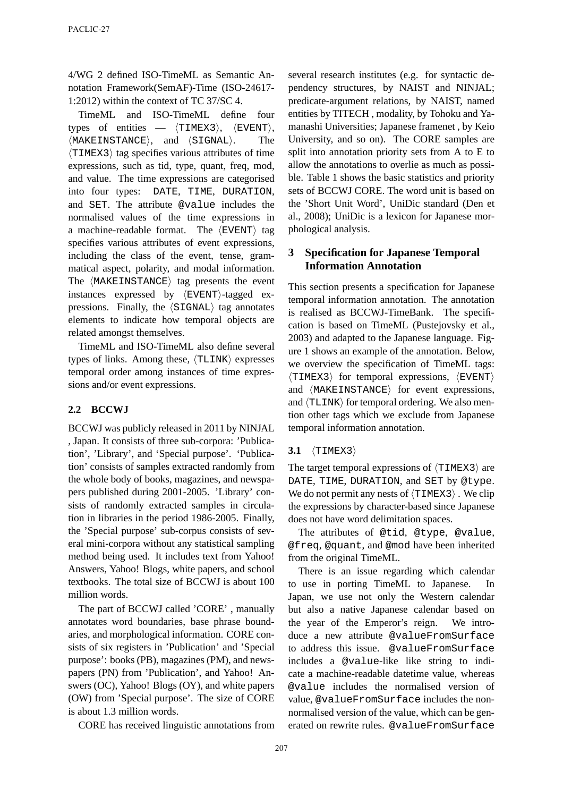4/WG 2 defined ISO-TimeML as Semantic Annotation Framework(SemAF)-Time (ISO-24617- 1:2012) within the context of TC 37/SC 4.

TimeML and ISO-TimeML define four types of entities — *⟨*TIMEX3*⟩*, *⟨*EVENT*⟩*, *⟨*MAKEINSTANCE*⟩*, and *⟨*SIGNAL*⟩*. The *⟨*TIMEX3*⟩* tag specifies various attributes of time expressions, such as tid, type, quant, freq, mod, and value. The time expressions are categorised into four types: DATE, TIME, DURATION, and SET. The attribute @value includes the normalised values of the time expressions in a machine-readable format. The *⟨*EVENT*⟩* tag specifies various attributes of event expressions, including the class of the event, tense, grammatical aspect, polarity, and modal information. The *⟨*MAKEINSTANCE*⟩* tag presents the event instances expressed by *⟨*EVENT*⟩*-tagged expressions. Finally, the *⟨*SIGNAL*⟩* tag annotates elements to indicate how temporal objects are related amongst themselves.

TimeML and ISO-TimeML also define several types of links. Among these, *⟨*TLINK*⟩* expresses temporal order among instances of time expressions and/or event expressions.

# **2.2 BCCWJ**

BCCWJ was publicly released in 2011 by NINJAL , Japan. It consists of three sub-corpora: 'Publication', 'Library', and 'Special purpose'. 'Publication' consists of samples extracted randomly from the whole body of books, magazines, and newspapers published during 2001-2005. 'Library' consists of randomly extracted samples in circulation in libraries in the period 1986-2005. Finally, the 'Special purpose' sub-corpus consists of several mini-corpora without any statistical sampling method being used. It includes text from Yahoo! Answers, Yahoo! Blogs, white papers, and school textbooks. The total size of BCCWJ is about 100 million words.

The part of BCCWJ called 'CORE' , manually annotates word boundaries, base phrase boundaries, and morphological information. CORE consists of six registers in 'Publication' and 'Special purpose': books (PB), magazines (PM), and newspapers (PN) from 'Publication', and Yahoo! Answers (OC), Yahoo! Blogs (OY), and white papers (OW) from 'Special purpose'. The size of CORE is about 1.3 million words.

CORE has received linguistic annotations from

several research institutes (e.g. for syntactic dependency structures, by NAIST and NINJAL; predicate-argument relations, by NAIST, named entities by TITECH , modality, by Tohoku and Yamanashi Universities; Japanese framenet , by Keio University, and so on). The CORE samples are split into annotation priority sets from A to E to allow the annotations to overlie as much as possible. Table 1 shows the basic statistics and priority sets of BCCWJ CORE. The word unit is based on the 'Short Unit Word', UniDic standard (Den et al., 2008); UniDic is a lexicon for Japanese morphological analysis.

# **3 Specification for Japanese Temporal Information Annotation**

This section presents a specification for Japanese temporal information annotation. The annotation is realised as BCCWJ-TimeBank. The specification is based on TimeML (Pustejovsky et al., 2003) and adapted to the Japanese language. Figure 1 shows an example of the annotation. Below, we overview the specification of TimeML tags: *⟨*TIMEX3*⟩* for temporal expressions, *⟨*EVENT*⟩* and *⟨*MAKEINSTANCE*⟩* for event expressions, and  $\langle TLINK \rangle$  for temporal ordering. We also mention other tags which we exclude from Japanese temporal information annotation.

### **3.1** *⟨*TIMEX3*⟩*

The target temporal expressions of *⟨*TIMEX3*⟩* are DATE, TIME, DURATION, and SET by @type. We do not permit any nests of *⟨*TIMEX3*⟩* . We clip the expressions by character-based since Japanese does not have word delimitation spaces.

The attributes of @tid, @type, @value, @freq, @quant, and @mod have been inherited from the original TimeML.

There is an issue regarding which calendar to use in porting TimeML to Japanese. Japan, we use not only the Western calendar but also a native Japanese calendar based on the year of the Emperor's reign. We introduce a new attribute @valueFromSurface to address this issue. @valueFromSurface includes a @value-like like string to indicate a machine-readable datetime value, whereas @value includes the normalised version of value, @valueFromSurface includes the nonnormalised version of the value, which can be generated on rewrite rules. @valueFromSurface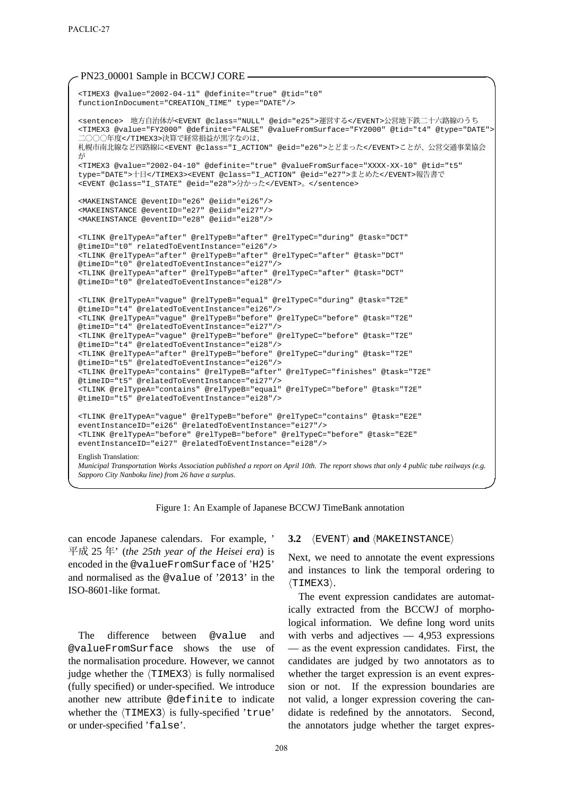#### PN23<sub>-00001</sub> Sample in BCCWJ CORE -

```
<TIMEX3 @value="2002-04-11" @definite="true" @tid="t0"
functionInDocument="CREATION_TIME" type="DATE"/>
<sentence> 地方自治体が<EVENT @class="NULL" @eid="e25">運営する</EVENT>公営地下鉄二十六路線のうち
<TIMEX3 @value="FY2000" @definite="FALSE" @valueFromSurface="FY2000" @tid="t4" @type="DATE">
 二〇〇〇年度</TIMEX3>決算で経常損益が黒字なのは、
札幌市南北線など四路線に<EVENT @class="I_ACTION" @eid="e26">とどまった</EVENT>ことが、公営交通事業協会
が
<TIMEX3 @value="2002-04-10" @definite="true" @valueFromSurface="XXXX-XX-10" @tid="t5"
type="DATE">十日</TIMEX3><EVENT @class="I_ACTION" @eid="e27">まとめた</EVENT>報告書で
<EVENT @class="I_STATE" @eid="e28">分かった</EVENT>。</sentence>
<MAKEINSTANCE @eventID="e26" @eiid="ei26"/>
<MAKEINSTANCE @eventID="e27" @eiid="ei27"/>
<MAKEINSTANCE @eventID="e28" @eiid="ei28"/>
<TLINK @relTypeA="after" @relTypeB="after" @relTypeC="during" @task="DCT"
@timeID="t0" relatedToEventInstance="ei26"/>
<TLINK @relTypeA="after" @relTypeB="after" @relTypeC="after" @task="DCT"
@timeID="t0" @relatedToEventInstance="ei27"/>
<TLINK @relTypeA="after" @relTypeB="after" @relTypeC="after" @task="DCT"
@timeID="t0" @relatedToEventInstance="ei28"/>
<TLINK @relTypeA="vague" @relTypeB="equal" @relTypeC="during" @task="T2E"
@timeID="t4" @relatedToEventInstance="ei26"/>
<TLINK @relTypeA="vague" @relTypeB="before" @relTypeC="before" @task="T2E"
@timeID="t4" @relatedToEventInstance="ei27"/>
<TLINK @relTypeA="vague" @relTypeB="before" @relTypeC="before" @task="T2E"
@timeID="t4" @relatedToEventInstance="ei28"/>
<TLINK @relTypeA="after" @relTypeB="before" @relTypeC="during" @task="T2E"
@timeID="t5" @relatedToEventInstance="ei26"/>
<TLINK @relTypeA="contains" @relTypeB="after" @relTypeC="finishes" @task="T2E"
@timeID="t5" @relatedToEventInstance="ei27"/>
<TLINK @relTypeA="contains" @relTypeB="equal" @relTypeC="before" @task="T2E"
@timeID="t5" @relatedToEventInstance="ei28"/>
<TLINK @relTypeA="vague" @relTypeB="before" @relTypeC="contains" @task="E2E"
eventInstanceID="ei26" @relatedToEventInstance="ei27"/>
<TLINK @relTypeA="before" @relTypeB="before" @relTypeC="before" @task="E2E"
eventInstanceID="ei27" @relatedToEventInstance="ei28"/>
English Translation:
Municipal Transportation Works Association published a report on April 10th. The report shows that only 4 public tube railways (e.g.
Sapporo City Nanboku line) from 26 have a surplus.
```
Figure 1: An Example of Japanese BCCWJ TimeBank annotation

**✒ ✑**

can encode Japanese calendars. For example, ' 平成 25 年' (*the 25th year of the Heisei era*) is encoded in the @valueFromSurface of 'H25' and normalised as the @value of '2013' in the ISO-8601-like format.

The difference between @value and @valueFromSurface shows the use of the normalisation procedure. However, we cannot judge whether the *⟨*TIMEX3*⟩* is fully normalised (fully specified) or under-specified. We introduce another new attribute @definite to indicate whether the  $\langle \text{TIMEX3} \rangle$  is fully-specified 'true' or under-specified 'false'.

#### **3.2** *⟨*EVENT*⟩* **and** *⟨*MAKEINSTANCE*⟩*

Next, we need to annotate the event expressions and instances to link the temporal ordering to *⟨*TIMEX3*⟩*.

The event expression candidates are automatically extracted from the BCCWJ of morphological information. We define long word units with verbs and adjectives  $-4,953$  expressions — as the event expression candidates. First, the candidates are judged by two annotators as to whether the target expression is an event expression or not. If the expression boundaries are not valid, a longer expression covering the candidate is redefined by the annotators. Second, the annotators judge whether the target expres-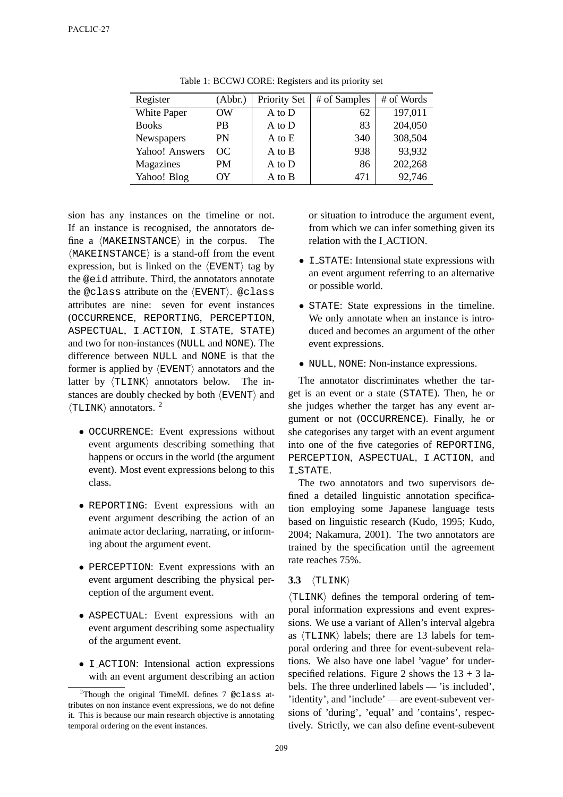| Register       | (Abbr.)   | <b>Priority Set</b> | # of Samples | # of Words |
|----------------|-----------|---------------------|--------------|------------|
| White Paper    | <b>OW</b> | A to D              | 62           | 197,011    |
| <b>Books</b>   | PB        | A to D              | 83           | 204,050    |
| Newspapers     | PN        | A to E              | 340          | 308,504    |
| Yahoo! Answers | OC.       | A to B              | 938          | 93,932     |
| Magazines      | PМ        | A to D              | 86           | 202,268    |
| Yahoo! Blog    | OY        | A to B              | 471          | 92,746     |

Table 1: BCCWJ CORE: Registers and its priority set

sion has any instances on the timeline or not. If an instance is recognised, the annotators define a *⟨*MAKEINSTANCE*⟩* in the corpus. The *⟨*MAKEINSTANCE*⟩* is a stand-off from the event expression, but is linked on the *⟨*EVENT*⟩* tag by the @eid attribute. Third, the annotators annotate the @class attribute on the *⟨*EVENT*⟩*. @class attributes are nine: seven for event instances (OCCURRENCE, REPORTING, PERCEPTION, ASPECTUAL, I ACTION, I STATE, STATE) and two for non-instances (NULL and NONE). The difference between NULL and NONE is that the former is applied by *⟨*EVENT*⟩* annotators and the latter by *⟨*TLINK*⟩* annotators below. The instances are doubly checked by both *⟨*EVENT*⟩* and *⟨*TLINK*⟩* annotators. <sup>2</sup>

- *•* OCCURRENCE: Event expressions without event arguments describing something that happens or occurs in the world (the argument event). Most event expressions belong to this class.
- *•* REPORTING: Event expressions with an event argument describing the action of an animate actor declaring, narrating, or informing about the argument event.
- *•* PERCEPTION: Event expressions with an event argument describing the physical perception of the argument event.
- *•* ASPECTUAL: Event expressions with an event argument describing some aspectuality of the argument event.
- *•* I ACTION: Intensional action expressions with an event argument describing an action

or situation to introduce the argument event, from which we can infer something given its relation with the I ACTION.

- **I\_STATE:** Intensional state expressions with an event argument referring to an alternative or possible world.
- *•* STATE: State expressions in the timeline. We only annotate when an instance is introduced and becomes an argument of the other event expressions.
- *•* NULL, NONE: Non-instance expressions.

The annotator discriminates whether the target is an event or a state (STATE). Then, he or she judges whether the target has any event argument or not (OCCURRENCE). Finally, he or she categorises any target with an event argument into one of the five categories of REPORTING, PERCEPTION, ASPECTUAL, I ACTION, and **I\_STATE.** 

The two annotators and two supervisors defined a detailed linguistic annotation specification employing some Japanese language tests based on linguistic research (Kudo, 1995; Kudo, 2004; Nakamura, 2001). The two annotators are trained by the specification until the agreement rate reaches 75%.

### **3.3** *⟨*TLINK*⟩*

*⟨*TLINK*⟩* defines the temporal ordering of temporal information expressions and event expressions. We use a variant of Allen's interval algebra as *⟨*TLINK*⟩* labels; there are 13 labels for temporal ordering and three for event-subevent relations. We also have one label 'vague' for underspecified relations. Figure 2 shows the  $13 + 3$  labels. The three underlined labels — 'is included', 'identity', and 'include' — are event-subevent versions of 'during', 'equal' and 'contains', respectively. Strictly, we can also define event-subevent

<sup>2</sup>Though the original TimeML defines 7 @class attributes on non instance event expressions, we do not define it. This is because our main research objective is annotating temporal ordering on the event instances.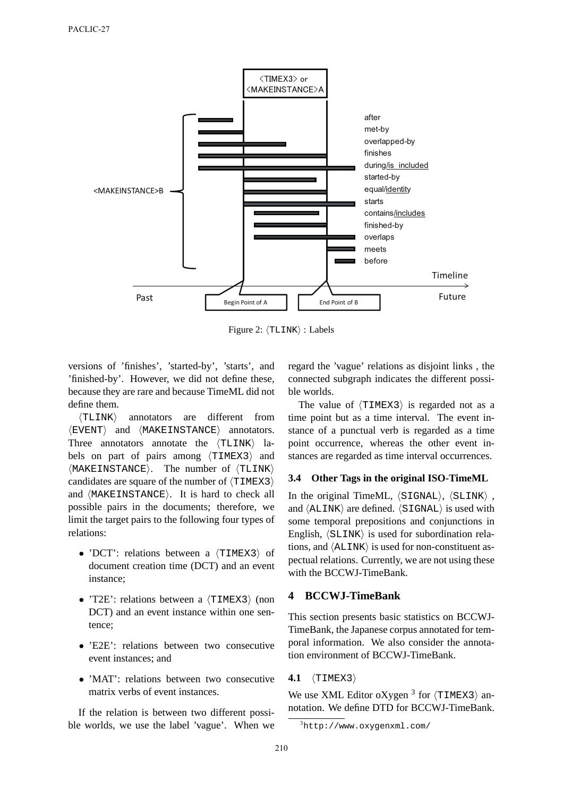

Figure 2: *⟨*TLINK*⟩* : Labels

versions of 'finishes', 'started-by', 'starts', and 'finished-by'. However, we did not define these, because they are rare and because TimeML did not define them.

*⟨*TLINK*⟩* annotators are different from *⟨*EVENT*⟩* and *⟨*MAKEINSTANCE*⟩* annotators. Three annotators annotate the *⟨*TLINK*⟩* labels on part of pairs among *⟨*TIMEX3*⟩* and *⟨*MAKEINSTANCE*⟩*. The number of *⟨*TLINK*⟩* candidates are square of the number of *⟨*TIMEX3*⟩* and *⟨*MAKEINSTANCE*⟩*. It is hard to check all possible pairs in the documents; therefore, we limit the target pairs to the following four types of relations:

- *•* 'DCT': relations between a *⟨*TIMEX3*⟩* of document creation time (DCT) and an event instance;
- *•* 'T2E': relations between a *⟨*TIMEX3*⟩* (non DCT) and an event instance within one sentence;
- *•* 'E2E': relations between two consecutive event instances; and
- 'MAT': relations between two consecutive matrix verbs of event instances.

If the relation is between two different possible worlds, we use the label 'vague'. When we

regard the 'vague' relations as disjoint links , the connected subgraph indicates the different possible worlds.

The value of *⟨*TIMEX3*⟩* is regarded not as a time point but as a time interval. The event instance of a punctual verb is regarded as a time point occurrence, whereas the other event instances are regarded as time interval occurrences.

### **3.4 Other Tags in the original ISO-TimeML**

In the original TimeML, *⟨*SIGNAL*⟩*, *⟨*SLINK*⟩* , and *⟨*ALINK*⟩* are defined. *⟨*SIGNAL*⟩* is used with some temporal prepositions and conjunctions in English, *⟨*SLINK*⟩* is used for subordination relations, and *⟨*ALINK*⟩* is used for non-constituent aspectual relations. Currently, we are not using these with the BCCWJ-TimeBank.

# **4 BCCWJ-TimeBank**

This section presents basic statistics on BCCWJ-TimeBank, the Japanese corpus annotated for temporal information. We also consider the annotation environment of BCCWJ-TimeBank.

### **4.1** *⟨*TIMEX3*⟩*

We use XML Editor oXygen <sup>3</sup> for *⟨*TIMEX3*⟩* annotation. We define DTD for BCCWJ-TimeBank.

<sup>3</sup>http://www.oxygenxml.com/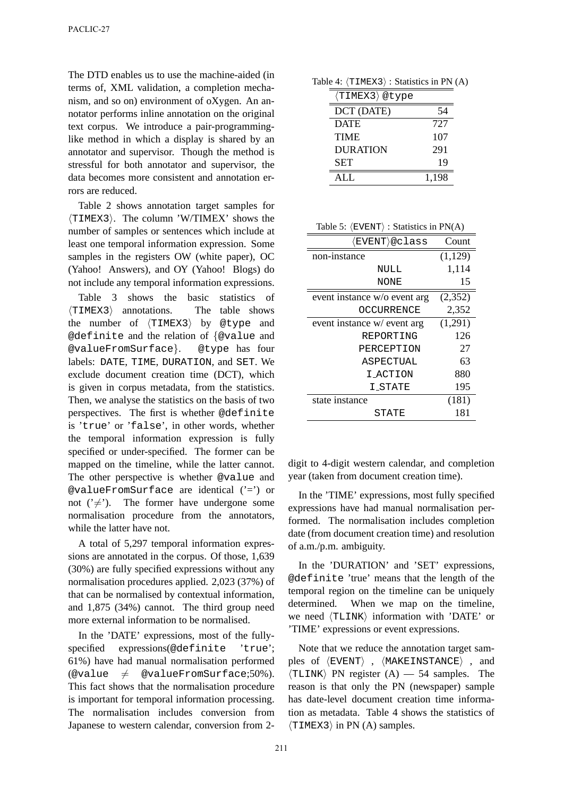The DTD enables us to use the machine-aided (in terms of, XML validation, a completion mechanism, and so on) environment of oXygen. An annotator performs inline annotation on the original text corpus. We introduce a pair-programminglike method in which a display is shared by an annotator and supervisor. Though the method is stressful for both annotator and supervisor, the data becomes more consistent and annotation errors are reduced.

Table 2 shows annotation target samples for *⟨*TIMEX3*⟩*. The column 'W/TIMEX' shows the number of samples or sentences which include at least one temporal information expression. Some samples in the registers OW (white paper), OC (Yahoo! Answers), and OY (Yahoo! Blogs) do not include any temporal information expressions.

Table 3 shows the basic statistics of *⟨*TIMEX3*⟩* annotations. The table shows the number of *⟨*TIMEX3*⟩* by @type and @definite and the relation of *{*@value and @valueFromSurface*}*. @type has four labels: DATE, TIME, DURATION, and SET. We exclude document creation time (DCT), which is given in corpus metadata, from the statistics. Then, we analyse the statistics on the basis of two perspectives. The first is whether @definite is 'true' or 'false', in other words, whether the temporal information expression is fully specified or under-specified. The former can be mapped on the timeline, while the latter cannot. The other perspective is whether @value and @valueFromSurface are identical ('=') or not  $(\neq)$ . The former have undergone some normalisation procedure from the annotators, while the latter have not.

A total of 5,297 temporal information expressions are annotated in the corpus. Of those, 1,639 (30%) are fully specified expressions without any normalisation procedures applied. 2,023 (37%) of that can be normalised by contextual information, and 1,875 (34%) cannot. The third group need more external information to be normalised.

In the 'DATE' expressions, most of the fullyspecified expressions(@definite 'true'; 61%) have had manual normalisation performed (@value  $\neq$  @valueFromSurface:50%). This fact shows that the normalisation procedure is important for temporal information processing. The normalisation includes conversion from Japanese to western calendar, conversion from 2-

| Table 4: $\langle$ TIMEX3 $\rangle$ : Statistics in PN (A) |  |  |  |  |  |
|------------------------------------------------------------|--|--|--|--|--|
|------------------------------------------------------------|--|--|--|--|--|

| (TIMEX3)@type   |       |
|-----------------|-------|
| DCT (DATE)      | 54    |
| <b>DATE</b>     | 727   |
| <b>TIME</b>     | 107   |
| <b>DURATION</b> | 291   |
| <b>SET</b>      | 19    |
| ALL.            | 1,198 |

| $\langle$ EVENT $\rangle$ @class | Count   |
|----------------------------------|---------|
| non-instance                     | (1,129) |
| NULL                             | 1,114   |
| NONE                             | 15      |
| event instance w/o event arg     | (2,352) |
| OCCURRENCE                       | 2,352   |
| event instance w/ event arg      | (1,291) |
| REPORTING                        | 126     |
| PERCEPTION                       | 27      |
| ASPECTUAL                        | 63      |
| I ACTION                         | 880     |
| <b>I_STATE</b>                   | 195     |
| state instance                   | (181)   |
| STATE                            | 181     |
|                                  |         |

digit to 4-digit western calendar, and completion year (taken from document creation time).

In the 'TIME' expressions, most fully specified expressions have had manual normalisation performed. The normalisation includes completion date (from document creation time) and resolution of a.m./p.m. ambiguity.

In the 'DURATION' and 'SET' expressions, @definite 'true' means that the length of the temporal region on the timeline can be uniquely determined. When we map on the timeline, we need *⟨*TLINK*⟩* information with 'DATE' or 'TIME' expressions or event expressions.

Note that we reduce the annotation target samples of *⟨*EVENT*⟩* , *⟨*MAKEINSTANCE*⟩* , and *⟨*TLINK*⟩* PN register (A) — 54 samples. The reason is that only the PN (newspaper) sample has date-level document creation time information as metadata. Table 4 shows the statistics of *⟨*TIMEX3*⟩* in PN (A) samples.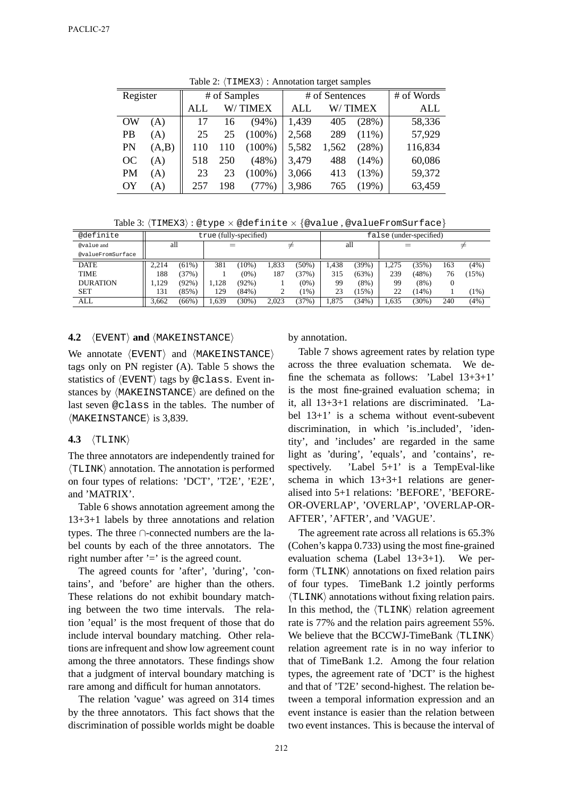| Register  |       | # of Samples |         |           |       | # of Sentences | # of Words |         |
|-----------|-------|--------------|---------|-----------|-------|----------------|------------|---------|
|           |       | ALL          | W/TIMEX |           | ALL   |                | W/ TIMEX   | ALL     |
| OW        | (A)   | 17           | 16      | $(94\%)$  | 1,439 | 405            | (28%)      | 58,336  |
| <b>PB</b> | (A)   | 25           | 25      | $(100\%)$ | 2,568 | 289            | $(11\%)$   | 57,929  |
| PN        | (A,B) | 110          | 110     | $(100\%)$ | 5,582 | 1,562          | (28%)      | 116,834 |
| OC.       | (A)   | 518          | 250     | (48%)     | 3,479 | 488            | $(14\%)$   | 60,086  |
| PM        | (A)   | 23           | 23      | $(100\%)$ | 3,066 | 413            | (13%)      | 59,372  |
| OY        | (A)   | 257          | 198     | (77%)     | 3,986 | 765            | (19%)      | 63,459  |

Table 2: *⟨*TIMEX3*⟩* : Annotation target samples

Table 3: *⟨*TIMEX3*⟩* : @type *×* @definite *× {*@value , @valueFromSurface*}*

| @definite         | true (fully-specified) |          |       |          |       |          |      | false (under-specified) |      |          |     |       |  |
|-------------------|------------------------|----------|-------|----------|-------|----------|------|-------------------------|------|----------|-----|-------|--|
| @value and        | all                    |          | ≠     |          |       | all      |      |                         |      | ≠        |     |       |  |
| @valueFromSurface |                        |          |       |          |       |          |      |                         |      |          |     |       |  |
| <b>DATE</b>       | 2.214                  | (61%)    | 381   | $(10\%)$ | 1,833 | $(50\%)$ | .438 | (39%)                   | .275 | (35%)    | 163 | (4%)  |  |
| <b>TIME</b>       | 188                    | (37%)    |       | $(0\%)$  | 187   | (37%)    | 315  | (63%)                   | 239  | (48%)    | 76  | (15%) |  |
| <b>DURATION</b>   | .129                   | (92% )   | 1.128 | (92%)    |       | $(0\%)$  | 99   | (8%)                    | 99   | $(8\%)$  | 0   |       |  |
| <b>SET</b>        | 131                    | (85%)    | 129   | (84%)    | ∸     | $1\%$    | 23   | $15\%)$                 | 22   | (14%)    |     | (1%)  |  |
| ALL               | 3.662                  | $(66\%)$ | . 639 | $(30\%)$ | 2.023 | (37%)    | .875 | (34%)                   | .635 | $(30\%)$ | 240 | (4%)  |  |

### **4.2** *⟨*EVENT*⟩* **and** *⟨*MAKEINSTANCE*⟩*

We annotate *⟨*EVENT*⟩* and *⟨*MAKEINSTANCE*⟩* tags only on PN register (A). Table 5 shows the statistics of *⟨*EVENT*⟩* tags by @class. Event instances by *⟨*MAKEINSTANCE*⟩* are defined on the last seven @class in the tables. The number of *⟨*MAKEINSTANCE*⟩* is 3,839.

#### **4.3** *⟨*TLINK*⟩*

The three annotators are independently trained for *⟨*TLINK*⟩* annotation. The annotation is performed on four types of relations: 'DCT', 'T2E', 'E2E', and 'MATRIX'.

Table 6 shows annotation agreement among the 13+3+1 labels by three annotations and relation types. The three *∩*-connected numbers are the label counts by each of the three annotators. The right number after  $i = i$  is the agreed count.

The agreed counts for 'after', 'during', 'contains', and 'before' are higher than the others. These relations do not exhibit boundary matching between the two time intervals. The relation 'equal' is the most frequent of those that do include interval boundary matching. Other relations are infrequent and show low agreement count among the three annotators. These findings show that a judgment of interval boundary matching is rare among and difficult for human annotators.

The relation 'vague' was agreed on 314 times by the three annotators. This fact shows that the discrimination of possible worlds might be doable

by annotation.

Table 7 shows agreement rates by relation type across the three evaluation schemata. We define the schemata as follows: 'Label 13+3+1' is the most fine-grained evaluation schema; in it, all 13+3+1 relations are discriminated. 'Label 13+1' is a schema without event-subevent discrimination, in which 'is included', 'identity', and 'includes' are regarded in the same light as 'during', 'equals', and 'contains', respectively. 'Label 5+1' is a TempEval-like schema in which 13+3+1 relations are generalised into 5+1 relations: 'BEFORE', 'BEFORE-OR-OVERLAP', 'OVERLAP', 'OVERLAP-OR-AFTER', 'AFTER', and 'VAGUE'.

The agreement rate across all relations is 65.3% (Cohen's kappa 0.733) using the most fine-grained evaluation schema (Label 13+3+1). We perform *⟨*TLINK*⟩* annotations on fixed relation pairs of four types. TimeBank 1.2 jointly performs *⟨*TLINK*⟩* annotations without fixing relation pairs. In this method, the *⟨*TLINK*⟩* relation agreement rate is 77% and the relation pairs agreement 55%. We believe that the BCCWJ-TimeBank *⟨*TLINK*⟩* relation agreement rate is in no way inferior to that of TimeBank 1.2. Among the four relation types, the agreement rate of 'DCT' is the highest and that of 'T2E' second-highest. The relation between a temporal information expression and an event instance is easier than the relation between two event instances. This is because the interval of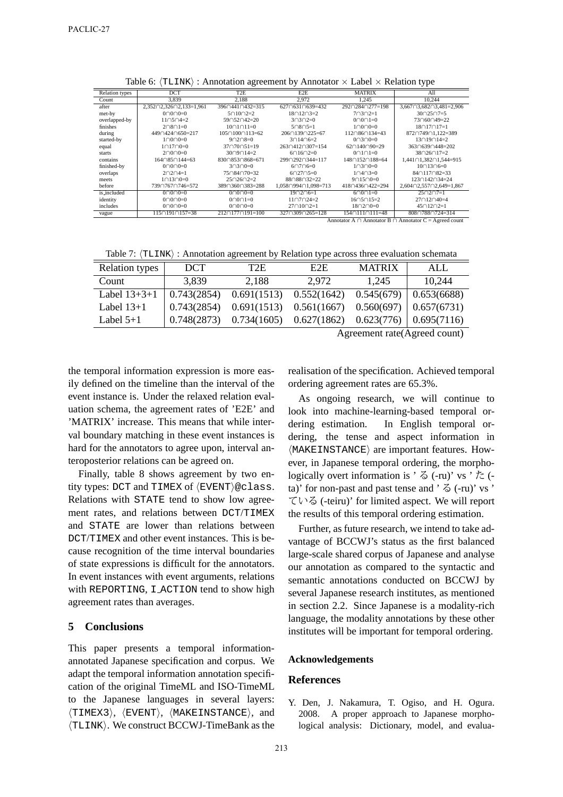| Relation types | <b>DCT</b>                                                       | T <sub>2</sub> E              | E2E                               | <b>MATRIX</b>                | All                                   |  |  |  |  |  |
|----------------|------------------------------------------------------------------|-------------------------------|-----------------------------------|------------------------------|---------------------------------------|--|--|--|--|--|
| Count          | 3.839                                                            | 2.188                         | 2.972                             | 1.245                        | 10.244                                |  |  |  |  |  |
| after          | $2,352 \cap 2,326 \cap 2,133=1,961$                              | 39604410432=315               | $627 \cap 631 \cap 639 = 432$     | 29202840277=198              | $3.667 \cap 3.682 \cap 3.481 = 2.906$ |  |  |  |  |  |
| met-by         | $0 \cap 0 \cap 0 = 0$                                            | $5 \cap 10 \cap 2 = 2$        | $18 \cap 12 \cap 3 = 2$           | $7 \cap 3 \cap 2 = 1$        | $30 \cap 25 \cap 7 = 5$               |  |  |  |  |  |
| overlapped-by  | $11 \cap 5 \cap 4 = 2$                                           | 59∩52∩42=20                   | $3 \cap 3 \cap 2 = 0$             | $0 \cap 0 \cap 1 = 0$        | 73∩60∩49=22                           |  |  |  |  |  |
| finishes       | $2 \cap 8 \cap 1 = 0$                                            | $10 \cap 1 \cap 11 = 0$       | $5 \cap 8 \cap 5 = 1$             | $1 \cap 0 \cap 0 = 0$        | $18 \cap 17 \cap 17 = 1$              |  |  |  |  |  |
| during         | $449 \cap 424 \cap 650 = 217$                                    | $105 \cap 100 \cap 113 = 62$  | $206 \cap 139 \cap 225 = 67$      | $112 \cap 86 \cap 134 = 43$  | 872074901,122=389                     |  |  |  |  |  |
| started-by     | $1 \cap 0 \cap 0 = 0$                                            | $9 \cap 2 \cap 8 = 0$         | $3 \cap 14 \cap 6 = 2$            | $0 \cap 3 \cap 0 = 0$        | $13 \cap 19 \cap 14 = 2$              |  |  |  |  |  |
| equal          | $1 \cap 17 \cap 0 = 0$                                           | $37 \cap 70 \cap 51 = 19$     | $263 \cap 412 \cap 307 = 154$     | $62 \cap 140 \cap 90 = 29$   | 36306390448=202                       |  |  |  |  |  |
| starts         | $2 \cap 0 \cap 0 = 0$                                            | $30 \cap 9 \cap 14 = 2$       | $6 \cap 16 \cap 2 = 0$            | $0 \cap 1 \cap 1 = 0$        | $38 \cap 26 \cap 17 = 2$              |  |  |  |  |  |
| contains       | $164 \cap 85 \cap 144 = 63$                                      | 83008530868=671               | 299∩292∩344=117                   | 148∩152∩188=64               | 1,441∩1,382∩1,544=915                 |  |  |  |  |  |
| finished-by    | $0 \cap 0 \cap 0 = 0$                                            | $3 \cap 3 \cap 0 = 0$         | $6 \cap 7 \cap 6 = 0$             | $1 \cap 3 \cap 0 = 0$        | $10 \cap 13 \cap 6 = 0$               |  |  |  |  |  |
| overlaps       | $2 \cap 2 \cap 4 = 1$                                            | $75 \cap 84 \cap 70 = 32$     | $602705=0$                        | $1 \cap 4 \cap 3 = 0$        | 84∩117∩82=33                          |  |  |  |  |  |
| meets          | $1 \cap 13 \cap 0 = 0$                                           | $25 \cap 26 \cap 2=2$         | 88∩88∩32=22                       | $9 \cap 15 \cap 0 = 0$       | $123 \cap 142 \cap 34 = 24$           |  |  |  |  |  |
| before         | 739∩767∩746=572                                                  | 389 360 383 = 288             | $1.058 \cap 994 \cap 1.098 = 713$ | 41804360422=294              | $2,604 \cap 2,557 \cap 2,649 = 1,867$ |  |  |  |  |  |
| is_included    | $0 \cap 0 \cap 0 = 0$                                            | $0 \cap 0 \cap 0 = 0$         | $19 \cap 2 \cap 6 = 1$            | $6 \cap 0 \cap 1 = 0$        | $25 \cap 2 \cap 7 = 1$                |  |  |  |  |  |
| identity       | $0 \cap 0 \cap 0 = 0$                                            | $0 \cap 0 \cap 1 = 0$         | $11 \cap 7 \cap 24 = 2$           | $16 \cap 5 \cap 15 = 2$      | $27 \cap 12 \cap 40 = 4$              |  |  |  |  |  |
| includes       | $0 \cap 0 \cap 0 = 0$                                            | $0 \cap 0 \cap 0 = 0$         | $27 \cap 10 \cap 2 = 1$           | $18 \cap 2 \cap 0 = 0$       | $45 \cap 12 \cap 2 = 1$               |  |  |  |  |  |
| vague          | $115 \cap 191 \cap 157 = 38$                                     | $212 \cap 177 \cap 191 = 100$ | $327 \cap 309 \cap 265 = 128$     | $154 \cap 111 \cap 111 = 48$ | 80807880724=314                       |  |  |  |  |  |
|                | Annotator A $\cap$ Annotator B $\cap$ Annotator C = Agreed count |                               |                                   |                              |                                       |  |  |  |  |  |

Table 6: *⟨*TLINK*⟩* : Annotation agreement by Annotator *×* Label *×* Relation type

Table 7:  $\langle \text{TLINK} \rangle$ : Annotation agreement by Relation type across three evaluation schemata

| <b>Relation types</b> | DCT.        | T2E         | E2E.                                                   | <b>MATRIX</b> | ALL.                      |
|-----------------------|-------------|-------------|--------------------------------------------------------|---------------|---------------------------|
| Count                 | 3.839       | 2.188       | 2.972                                                  | 1.245         | 10,244                    |
| Label $13+3+1$        | 0.743(2854) | 0.691(1513) | 0.552(1642)                                            | 0.545(679)    | $\mid$ 0.653(6688)        |
| Label $13+1$          | 0.743(2854) |             | $0.691(1513)$ $0.561(1667)$ $0.560(697)$ $0.657(6731)$ |               |                           |
| Label $5+1$           | 0.748(2873) | 0.734(1605) | 0.627(1862)                                            | 0.623(776)    | $\vert 0.695(7116) \vert$ |
|                       |             |             |                                                        |               |                           |

Agreement rate(Agreed count)

the temporal information expression is more easily defined on the timeline than the interval of the event instance is. Under the relaxed relation evaluation schema, the agreement rates of 'E2E' and 'MATRIX' increase. This means that while interval boundary matching in these event instances is hard for the annotators to agree upon, interval anteroposterior relations can be agreed on.

Finally, table 8 shows agreement by two entity types: DCT and TIMEX of *⟨*EVENT*⟩*@class. Relations with STATE tend to show low agreement rates, and relations between DCT/TIMEX and STATE are lower than relations between DCT/TIMEX and other event instances. This is because recognition of the time interval boundaries of state expressions is difficult for the annotators. In event instances with event arguments, relations with REPORTING, I ACTION tend to show high agreement rates than averages.

### **5 Conclusions**

This paper presents a temporal informationannotated Japanese specification and corpus. We adapt the temporal information annotation specification of the original TimeML and ISO-TimeML to the Japanese languages in several layers: *⟨*TIMEX3*⟩*, *⟨*EVENT*⟩*, *⟨*MAKEINSTANCE*⟩*, and *⟨*TLINK*⟩*. We construct BCCWJ-TimeBank as the

realisation of the specification. Achieved temporal ordering agreement rates are 65.3%.

As ongoing research, we will continue to look into machine-learning-based temporal ordering estimation. In English temporal ordering, the tense and aspect information in *⟨*MAKEINSTANCE*⟩* are important features. However, in Japanese temporal ordering, the morphologically overt information is '  $\delta$  (-ru)' vs '  $\hbar$  (ta)' for non-past and past tense and '  $\leq$  (-ru)' vs ' ている (-teiru)' for limited aspect. We will report the results of this temporal ordering estimation.

Further, as future research, we intend to take advantage of BCCWJ's status as the first balanced large-scale shared corpus of Japanese and analyse our annotation as compared to the syntactic and semantic annotations conducted on BCCWJ by several Japanese research institutes, as mentioned in section 2.2. Since Japanese is a modality-rich language, the modality annotations by these other institutes will be important for temporal ordering.

#### **Acknowledgements**

### **References**

Y. Den, J. Nakamura, T. Ogiso, and H. Ogura. 2008. A proper approach to Japanese morphological analysis: Dictionary, model, and evalua-